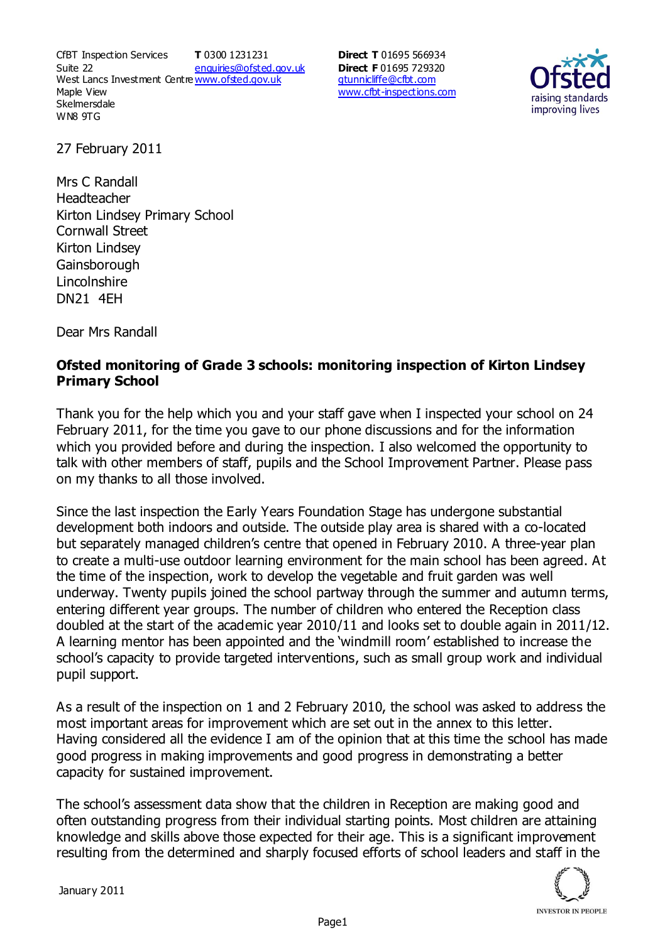CfBT Inspection Services Suite 22 West Lancs Investment Centre<u>www.ofsted.gov.uk</u> Maple View **Skelmersdale** WN8 9TG **T** 0300 1231231 enquiries@ofsted.gov.uk

**Direct T** 01695 566934 **Direct F** 01695 729320 gtunnicliffe@cfbt.com www.cfbt-inspections.com



27 February 2011

Mrs C Randall Headteacher Kirton Lindsey Primary School Cornwall Street Kirton Lindsey **Gainsborough** Lincolnshire DN21 4EH

Dear Mrs Randall

## **Ofsted monitoring of Grade 3 schools: monitoring inspection of Kirton Lindsey Primary School**

Thank you for the help which you and your staff gave when I inspected your school on 24 February 2011, for the time you gave to our phone discussions and for the information which you provided before and during the inspection. I also welcomed the opportunity to talk with other members of staff, pupils and the School Improvement Partner. Please pass on my thanks to all those involved.

Since the last inspection the Early Years Foundation Stage has undergone substantial development both indoors and outside. The outside play area is shared with a co-located but separately managed children's centre that opened in February 2010. A three-year plan to create a multi-use outdoor learning environment for the main school has been agreed. At the time of the inspection, work to develop the vegetable and fruit garden was well underway. Twenty pupils joined the school partway through the summer and autumn terms, entering different year groups. The number of children who entered the Reception class doubled at the start of the academic year 2010/11 and looks set to double again in 2011/12. A learning mentor has been appointed and the 'windmill room' established to increase the school's capacity to provide targeted interventions, such as small group work and individual pupil support.

As a result of the inspection on 1 and 2 February 2010, the school was asked to address the most important areas for improvement which are set out in the annex to this letter. Having considered all the evidence I am of the opinion that at this time the school has made good progress in making improvements and good progress in demonstrating a better capacity for sustained improvement.

The school's assessment data show that the children in Reception are making good and often outstanding progress from their individual starting points. Most children are attaining knowledge and skills above those expected for their age. This is a significant improvement resulting from the determined and sharply focused efforts of school leaders and staff in the

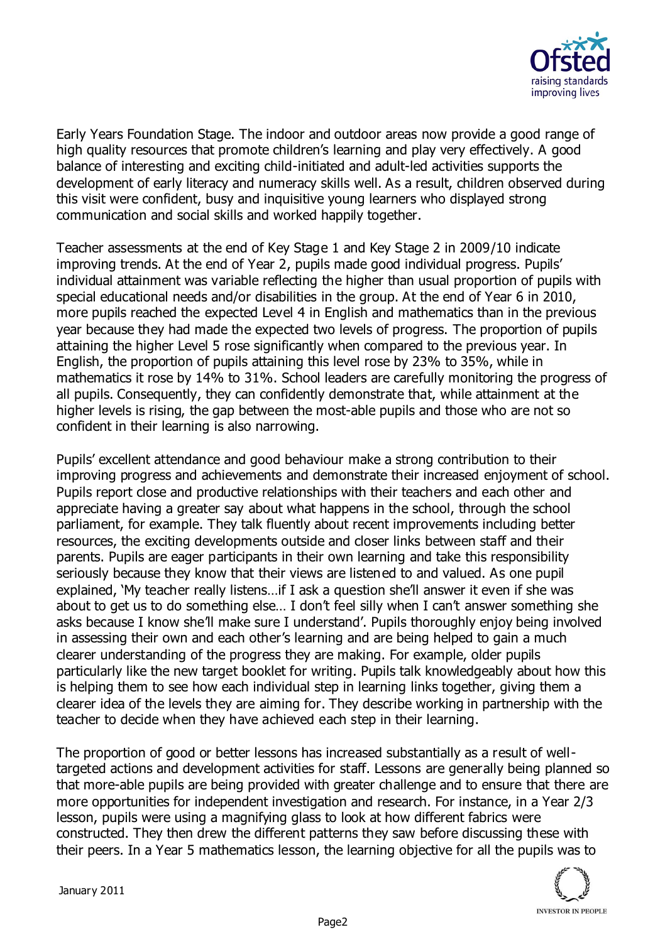

Early Years Foundation Stage. The indoor and outdoor areas now provide a good range of high quality resources that promote children's learning and play very effectively. A good balance of interesting and exciting child-initiated and adult-led activities supports the development of early literacy and numeracy skills well. As a result, children observed during this visit were confident, busy and inquisitive young learners who displayed strong communication and social skills and worked happily together.

Teacher assessments at the end of Key Stage 1 and Key Stage 2 in 2009/10 indicate improving trends. At the end of Year 2, pupils made good individual progress. Pupils' individual attainment was variable reflecting the higher than usual proportion of pupils with special educational needs and/or disabilities in the group. At the end of Year 6 in 2010, more pupils reached the expected Level 4 in English and mathematics than in the previous year because they had made the expected two levels of progress. The proportion of pupils attaining the higher Level 5 rose significantly when compared to the previous year. In English, the proportion of pupils attaining this level rose by 23% to 35%, while in mathematics it rose by 14% to 31%. School leaders are carefully monitoring the progress of all pupils. Consequently, they can confidently demonstrate that, while attainment at the higher levels is rising, the gap between the most-able pupils and those who are not so confident in their learning is also narrowing.

Pupils' excellent attendance and good behaviour make a strong contribution to their improving progress and achievements and demonstrate their increased enjoyment of school. Pupils report close and productive relationships with their teachers and each other and appreciate having a greater say about what happens in the school, through the school parliament, for example. They talk fluently about recent improvements including better resources, the exciting developments outside and closer links between staff and their parents. Pupils are eager participants in their own learning and take this responsibility seriously because they know that their views are listened to and valued. As one pupil explained, 'My teacher really listens…if I ask a question she'll answer it even if she was about to get us to do something else… I don't feel silly when I can't answer something she asks because I know she'll make sure I understand'. Pupils thoroughly enjoy being involved in assessing their own and each other's learning and are being helped to gain a much clearer understanding of the progress they are making. For example, older pupils particularly like the new target booklet for writing. Pupils talk knowledgeably about how this is helping them to see how each individual step in learning links together, giving them a clearer idea of the levels they are aiming for. They describe working in partnership with the teacher to decide when they have achieved each step in their learning.

The proportion of good or better lessons has increased substantially as a result of welltargeted actions and development activities for staff. Lessons are generally being planned so that more-able pupils are being provided with greater challenge and to ensure that there are more opportunities for independent investigation and research. For instance, in a Year 2/3 lesson, pupils were using a magnifying glass to look at how different fabrics were constructed. They then drew the different patterns they saw before discussing these with their peers. In a Year 5 mathematics lesson, the learning objective for all the pupils was to

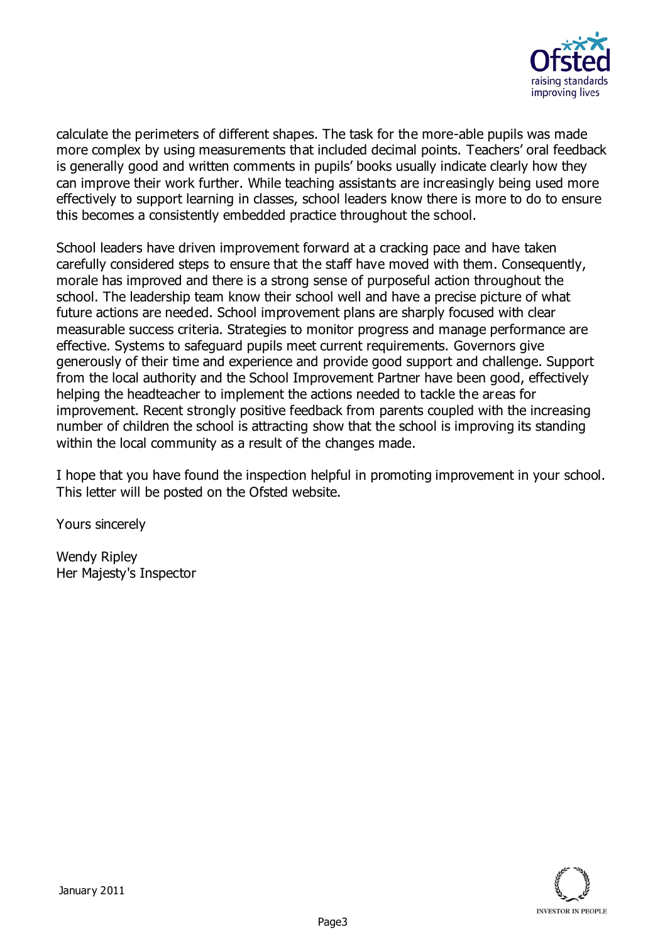

calculate the perimeters of different shapes. The task for the more-able pupils was made more complex by using measurements that included decimal points. Teachers' oral feedback is generally good and written comments in pupils' books usually indicate clearly how they can improve their work further. While teaching assistants are increasingly being used more effectively to support learning in classes, school leaders know there is more to do to ensure this becomes a consistently embedded practice throughout the school.

School leaders have driven improvement forward at a cracking pace and have taken carefully considered steps to ensure that the staff have moved with them. Consequently, morale has improved and there is a strong sense of purposeful action throughout the school. The leadership team know their school well and have a precise picture of what future actions are needed. School improvement plans are sharply focused with clear measurable success criteria. Strategies to monitor progress and manage performance are effective. Systems to safeguard pupils meet current requirements. Governors give generously of their time and experience and provide good support and challenge. Support from the local authority and the School Improvement Partner have been good, effectively helping the headteacher to implement the actions needed to tackle the areas for improvement. Recent strongly positive feedback from parents coupled with the increasing number of children the school is attracting show that the school is improving its standing within the local community as a result of the changes made.

I hope that you have found the inspection helpful in promoting improvement in your school. This letter will be posted on the Ofsted website.

Yours sincerely

Wendy Ripley Her Majesty's Inspector